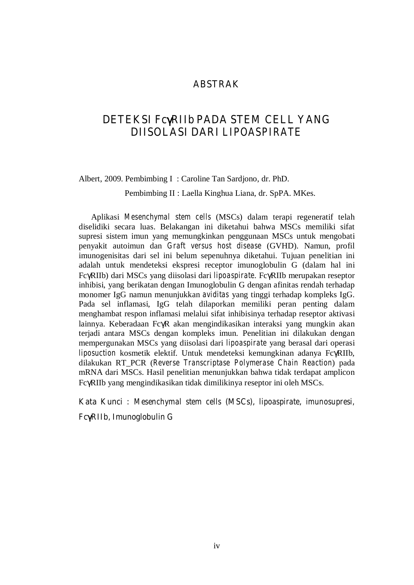#### **ABSTRAK**

### **DETEKSI Fc**γ**RIIb PADA STEM CELL YANG DIISOLASI DARI** *LIPOASPIRATE*

Albert, 2009. Pembimbing I : Caroline Tan Sardjono, dr. PhD.

Pembimbing II : Laella Kinghua Liana, dr. SpPA. MKes.

Aplikasi *Mesenchymal stem cells* (MSCs) dalam terapi regeneratif telah diselidiki secara luas. Belakangan ini diketahui bahwa MSCs memiliki sifat supresi sistem imun yang memungkinkan penggunaan MSCs untuk mengobati penyakit autoimun dan *Graft versus host disease* (GVHD). Namun, profil imunogenisitas dari sel ini belum sepenuhnya diketahui. Tujuan penelitian ini adalah untuk mendeteksi ekspresi receptor imunoglobulin G (dalam hal ini FcγRIIb) dari MSCs yang diisolasi dari *lipoaspirate*. FcγRIIb merupakan reseptor inhibisi, yang berikatan dengan Imunoglobulin G dengan afinitas rendah terhadap monomer IgG namun menunjukkan *aviditas* yang tinggi terhadap kompleks IgG. Pada sel inflamasi, IgG telah dilaporkan memiliki peran penting dalam menghambat respon inflamasi melalui sifat inhibisinya terhadap reseptor aktivasi lainnya. Keberadaan FcγR akan mengindikasikan interaksi yang mungkin akan terjadi antara MSCs dengan kompleks imun. Penelitian ini dilakukan dengan mempergunakan MSCs yang diisolasi dari *lipoaspirate* yang berasal dari operasi *liposuction* kosmetik elektif. Untuk mendeteksi kemungkinan adanya FcγRIIb, dilakukan RT\_PCR (*Reverse Transcriptase Polymerase Chain Reaction*) pada mRNA dari MSCs. Hasil penelitian menunjukkan bahwa tidak terdapat amplicon FcγRIIb yang mengindikasikan tidak dimilikinya reseptor ini oleh MSCs.

**Kata Kunci :** *Mesenchymal stem cells* **(MSCs),** *lipoaspirate***,** *imunosupresi,* 

**Fc**γ**RIIb, Imunoglobulin G**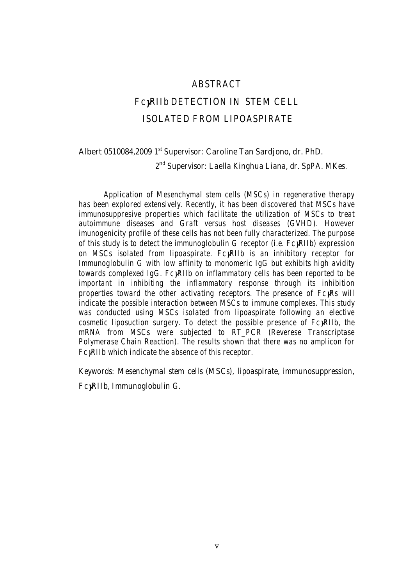#### *ABSTRACT*

# *Fc*γ*RIIb DETECTION IN STEM CELL ISOLATED FROM LIPOASPIRATE*

#### **Albert 0510084,2009** *1st Supervisor:* **Caroline Tan Sardjono, dr. PhD.**

*2nd Supervisor: Laella Kinghua Liana, dr. SpPA. MKes.* 

*Application of Mesenchymal stem cells (MSCs) in regenerative therapy has been explored extensively. Recently, it has been discovered that MSCs have immunosuppresive properties which facilitate the utilization of MSCs to treat autoimmune diseases and Graft versus host diseases (GVHD). However imunogenicity profile of these cells has not been fully characterized. The purpose of this study is to detect the immunoglobulin G receptor (i.e. Fc*γ*RIIb) expression on MSCs isolated from lipoaspirate. Fc*γ*RIIb is an inhibitory receptor for Immunoglobulin G with low affinity to monomeric IgG but exhibits high avidity towards complexed IgG. Fc*γ*RIIb on inflammatory cells has been reported to be important in inhibiting the inflammatory response through its inhibition properties toward the other activating receptors. The presence of FcγRs will indicate the possible interaction between MSCs to immune complexes. This study was conducted using MSCs isolated from lipoaspirate following an elective cosmetic liposuction surgery. To detect the possible presence of Fc*γ*RIIb, the mRNA from MSCs were subjected to RT\_PCR (Reverese Transcriptase Polymerase Chain Reaction). The results shown that there was no amplicon for Fc*γ*RIIb which indicate the absence of this receptor.* 

*Keywords: Mesenchymal stem cells (MSCs), lipoaspirate, immunosuppression,* 

*Fc*γ*RIIb, Immunoglobulin G.*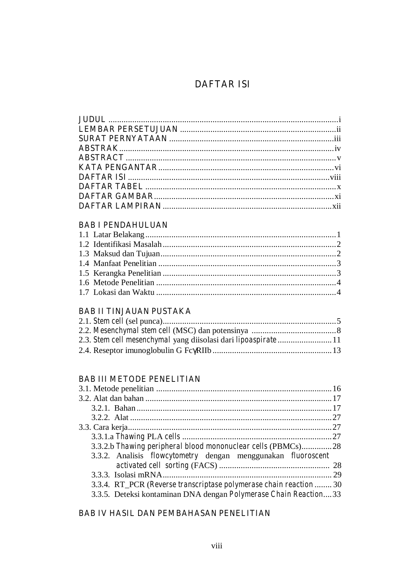## **DAFTAR ISI**

### **BAB I PENDAHULUAN**

### **BAB II TINJAUAN PUSTAKA**

### **BAB III METODE PENELITIAN**

| 3.3.2.b Thawing peripheral blood mononuclear cells (PBMCs)28               |  |
|----------------------------------------------------------------------------|--|
| 3.3.2. Analisis <i>flowcytometry</i> dengan menggunakan <i>fluoroscent</i> |  |
|                                                                            |  |
|                                                                            |  |
| 3.3.4. RT_PCR (Reverse transcriptase polymerase chain reaction  30         |  |
| 3.3.5. Deteksi kontaminan DNA dengan Polymerase Chain Reaction33           |  |
|                                                                            |  |

#### **BAB IV HASIL DAN PEMBAHASAN PENELITIAN**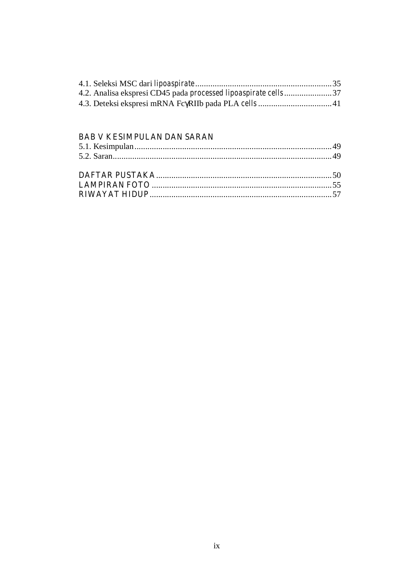| 4.2. Analisa ekspresi CD45 pada <i>processed lipoaspirate cells</i> 37 |  |
|------------------------------------------------------------------------|--|
|                                                                        |  |
|                                                                        |  |

### **BAB V KESIMPULAN DAN SARAN**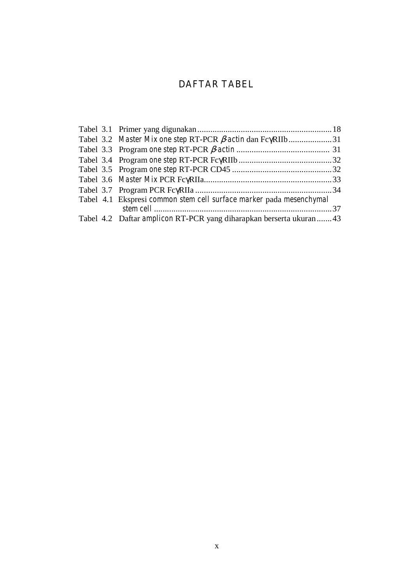## **DAFTAR TABEL**

| Tabel 3.2 Master Mix one step RT-PCR <i>B</i> -actin dan FcyRIIb31         |  |
|----------------------------------------------------------------------------|--|
|                                                                            |  |
|                                                                            |  |
|                                                                            |  |
|                                                                            |  |
|                                                                            |  |
| Tabel 4.1 Ekspresi common stem cell surface marker pada mesenchymal        |  |
| Tabel 4.2 Daftar <i>amplicon</i> RT-PCR yang diharapkan berserta ukuran 43 |  |